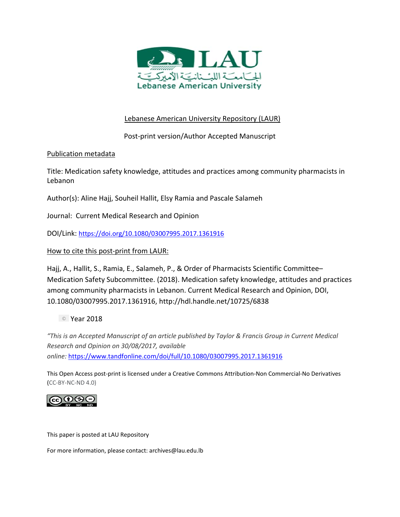

# Lebanese American University Repository (LAUR)

Post‐print version/Author Accepted Manuscript

# Publication metadata

Title: Medication safety knowledge, attitudes and practices among community pharmacists in Lebanon

Author(s): Aline Hajj, Souheil Hallit, Elsy Ramia and Pascale Salameh

Journal: Current Medical Research and Opinion

DOI/Link: https://doi.org/10.1080/03007995.2017.1361916

# How to cite this post-print from LAUR:

Hajj, A., Hallit, S., Ramia, E., Salameh, P., & Order of Pharmacists Scientific Committee– Medication Safety Subcommittee. (2018). Medication safety knowledge, attitudes and practices among community pharmacists in Lebanon. Current Medical Research and Opinion, DOI, 10.1080/03007995.2017.1361916, http://hdl.handle.net/10725/6838

Year 2018

*"This is an Accepted Manuscript of an article published by Taylor & Francis Group in Current Medical Research and Opinion on 30/08/2017, available online:* https://www.tandfonline.com/doi/full/10.1080/03007995.2017.1361916

This Open Access post‐print is licensed under a Creative Commons Attribution‐Non Commercial‐No Derivatives (CC‐BY‐NC‐ND 4.0)



This paper is posted at LAU Repository

For more information, please contact: archives@lau.edu.lb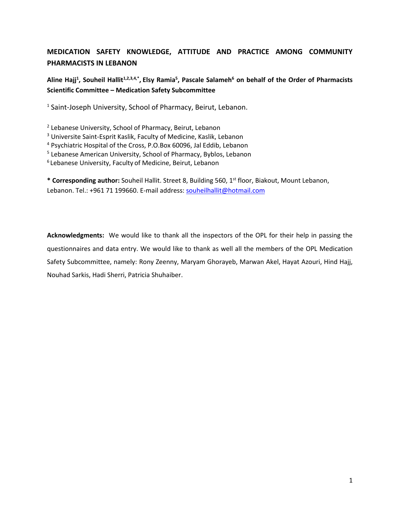# **MEDICATION SAFETY KNOWLEDGE, ATTITUDE AND PRACTICE AMONG COMMUNITY PHARMACISTS IN LEBANON**

**Aline Hajj<sup>1</sup> , Souheil Hallit1,2,3,4,\* , Elsy Ramia<sup>5</sup> , Pascale Salameh<sup>6</sup> on behalf of the Order of Pharmacists Scientific Committee – Medication Safety Subcommittee**

<sup>1</sup> Saint-Joseph University, School of Pharmacy, Beirut, Lebanon.

<sup>2</sup> Lebanese University, School of Pharmacy, Beirut, Lebanon

<sup>3</sup> Universite Saint-Esprit Kaslik, Faculty of Medicine, Kaslik, Lebanon

<sup>4</sup> Psychiatric Hospital of the Cross, P.O.Box 60096, Jal Eddib, Lebanon

<sup>5</sup> Lebanese American University, School of Pharmacy, Byblos, Lebanon

6 Lebanese University, Faculty of Medicine, Beirut, Lebanon

**\* Corresponding author:** Souheil Hallit. Street 8, Building 560, 1st floor, Biakout, Mount Lebanon, Lebanon. Tel.: +961 71 199660. E-mail address: [souheilhallit@hotmail.com](mailto:souheilhallit@hotmail.com)

**Acknowledgments:** We would like to thank all the inspectors of the OPL for their help in passing the questionnaires and data entry. We would like to thank as well all the members of the OPL Medication Safety Subcommittee, namely: Rony Zeenny, Maryam Ghorayeb, Marwan Akel, Hayat Azouri, Hind Hajj, Nouhad Sarkis, Hadi Sherri, Patricia Shuhaiber.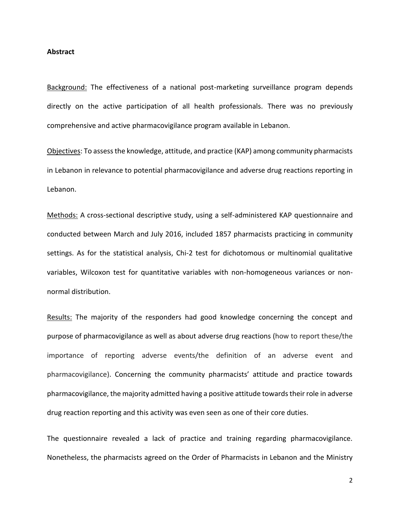#### **Abstract**

Background: The effectiveness of a national post-marketing surveillance program depends directly on the active participation of all health professionals. There was no previously comprehensive and active pharmacovigilance program available in Lebanon.

Objectives: To assess the knowledge, attitude, and practice (KAP) among community pharmacists in Lebanon in relevance to potential pharmacovigilance and adverse drug reactions reporting in Lebanon.

Methods: A cross-sectional descriptive study, using a self-administered KAP questionnaire and conducted between March and July 2016, included 1857 pharmacists practicing in community settings. As for the statistical analysis, Chi-2 test for dichotomous or multinomial qualitative variables, Wilcoxon test for quantitative variables with non-homogeneous variances or nonnormal distribution.

Results: The majority of the responders had good knowledge concerning the concept and purpose of pharmacovigilance as well as about adverse drug reactions (how to report these/the importance of reporting adverse events/the definition of an adverse event and pharmacovigilance). Concerning the community pharmacists' attitude and practice towards pharmacovigilance, the majority admitted having a positive attitude towards their role in adverse drug reaction reporting and this activity was even seen as one of their core duties.

The questionnaire revealed a lack of practice and training regarding pharmacovigilance. Nonetheless, the pharmacists agreed on the Order of Pharmacists in Lebanon and the Ministry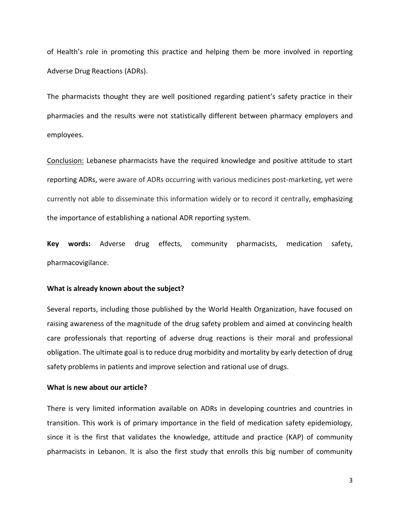of Health's role in promoting this practice and helping them be more involved in reporting Adverse Drug Reactions (ADRs).

The pharmacists thought they are well positioned regarding patient's safety practice in their pharmacies and the results were not statistically different between pharmacy employers and employees.

Conclusion: Lebanese pharmacists have the required knowledge and positive attitude to start reporting ADRs, were aware of ADRs occurring with various medicines post-marketing, yet were currently not able to disseminate this information widely or to record it centrally, emphasizing the importance of establishing a national ADR reporting system.

**Key words:** Adverse drug effects, community pharmacists, medication safety, pharmacovigilance.

#### **What is already known about the subject?**

Several reports, including those published by the World Health Organization, have focused on raising awareness of the magnitude of the drug safety problem and aimed at convincing health care professionals that reporting of adverse drug reactions is their moral and professional obligation. The ultimate goal is to reduce drug morbidity and mortality by early detection of drug safety problems in patients and improve selection and rational use of drugs.

### **What is new about our article?**

There is very limited information available on ADRs in developing countries and countries in transition. This work is of primary importance in the field of medication safety epidemiology, since it is the first that validates the knowledge, attitude and practice (KAP) of community pharmacists in Lebanon. It is also the first study that enrolls this big number of community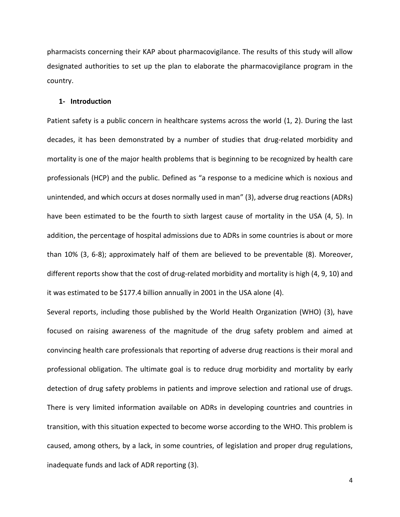pharmacists concerning their KAP about pharmacovigilance. The results of this study will allow designated authorities to set up the plan to elaborate the pharmacovigilance program in the country.

#### **1- Introduction**

Patient safety is a public concern in healthcare systems across the world [\(1,](#page-19-0) [2\)](#page-19-1). During the last decades, it has been demonstrated by a number of studies that drug-related morbidity and mortality is one of the major health problems that is beginning to be recognized by health care professionals (HCP) and the public. Defined as "a response to a medicine which is noxious and unintended, and which occurs at doses normally used in man" [\(3\)](#page-19-2), adverse drug reactions (ADRs) have been estimated to be the fourth to sixth largest cause of mortality in the USA [\(4,](#page-19-3) [5\)](#page-19-4). In addition, the percentage of hospital admissions due to ADRs in some countries is about or more than 10% [\(3,](#page-19-2) [6-8\)](#page-19-5); approximately half of them are believed to be preventable [\(8\)](#page-19-6). Moreover, different reports show that the cost of drug-related morbidity and mortality is high [\(4,](#page-19-3) [9,](#page-19-7) [10\)](#page-19-8) and it was estimated to be \$177.4 billion annually in 2001 in the USA alone [\(4\)](#page-19-3).

Several reports, including those published by the World Health Organization (WHO) [\(3\)](#page-19-2), have focused on raising awareness of the magnitude of the drug safety problem and aimed at convincing health care professionals that reporting of adverse drug reactions is their moral and professional obligation. The ultimate goal is to reduce drug morbidity and mortality by early detection of drug safety problems in patients and improve selection and rational use of drugs. There is very limited information available on ADRs in developing countries and countries in transition, with this situation expected to become worse according to the WHO. This problem is caused, among others, by a lack, in some countries, of legislation and proper drug regulations, inadequate funds and lack of ADR reporting [\(3\)](#page-19-2).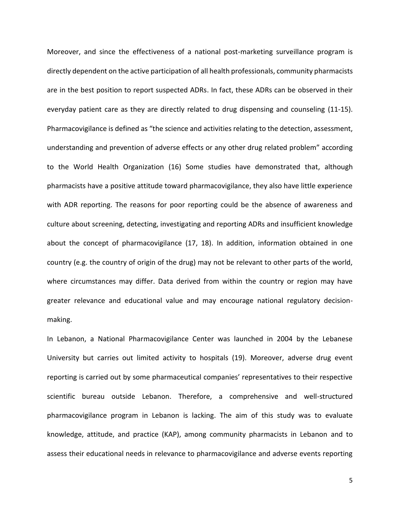Moreover, and since the effectiveness of a national post-marketing surveillance program is directly dependent on the active participation of all health professionals, community pharmacists are in the best position to report suspected ADRs. In fact, these ADRs can be observed in their everyday patient care as they are directly related to drug dispensing and counseling [\(11-15\)](#page-19-9). Pharmacovigilance is defined as "the science and activities relating to the detection, assessment, understanding and prevention of adverse effects or any other drug related problem" according to the World Health Organization [\(16\)](#page-19-10) Some studies have demonstrated that, although pharmacists have a positive attitude toward pharmacovigilance, they also have little experience with ADR reporting. The reasons for poor reporting could be the absence of awareness and culture about screening, detecting, investigating and reporting ADRs and insufficient knowledge about the concept of pharmacovigilance [\(17,](#page-19-11) [18\)](#page-20-0). In addition, information obtained in one country (e.g. the country of origin of the drug) may not be relevant to other parts of the world, where circumstances may differ. Data derived from within the country or region may have greater relevance and educational value and may encourage national regulatory decisionmaking.

In Lebanon, a National Pharmacovigilance Center was launched in 2004 by the Lebanese University but carries out limited activity to hospitals [\(19\)](#page-20-1). Moreover, adverse drug event reporting is carried out by some pharmaceutical companies' representatives to their respective scientific bureau outside Lebanon. Therefore, a comprehensive and well-structured pharmacovigilance program in Lebanon is lacking. The aim of this study was to evaluate knowledge, attitude, and practice (KAP), among community pharmacists in Lebanon and to assess their educational needs in relevance to pharmacovigilance and adverse events reporting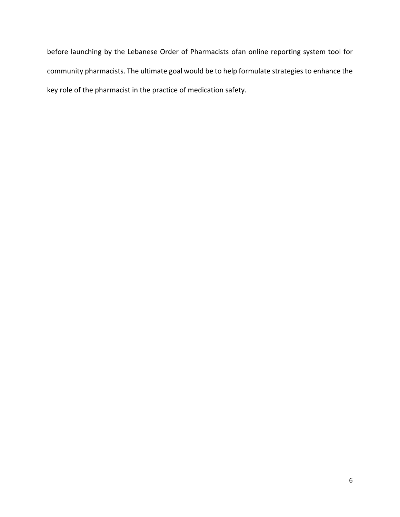before launching by the Lebanese Order of Pharmacists ofan online reporting system tool for community pharmacists. The ultimate goal would be to help formulate strategies to enhance the key role of the pharmacist in the practice of medication safety.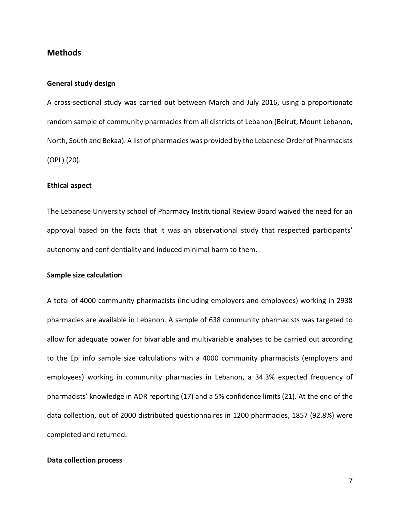## **Methods**

## **General study design**

A cross-sectional study was carried out between March and July 2016, using a proportionate random sample of community pharmacies from all districts of Lebanon (Beirut, Mount Lebanon, North, South and Bekaa). A list of pharmacies was provided by the Lebanese Order of Pharmacists (OPL) [\(20\)](#page-20-2).

#### **Ethical aspect**

The Lebanese University school of Pharmacy Institutional Review Board waived the need for an approval based on the facts that it was an observational study that respected participants' autonomy and confidentiality and induced minimal harm to them.

## **Sample size calculation**

A total of 4000 community pharmacists (including employers and employees) working in 2938 pharmacies are available in Lebanon. A sample of 638 community pharmacists was targeted to allow for adequate power for bivariable and multivariable analyses to be carried out according to the Epi info sample size calculations with a 4000 community pharmacists (employers and employees) working in community pharmacies in Lebanon, a 34.3% expected frequency of pharmacists' knowledge in ADR reporting [\(17\)](#page-19-11) and a 5% confidence limits [\(21\)](#page-20-3). At the end of the data collection, out of 2000 distributed questionnaires in 1200 pharmacies, 1857 (92.8%) were completed and returned.

### **Data collection process**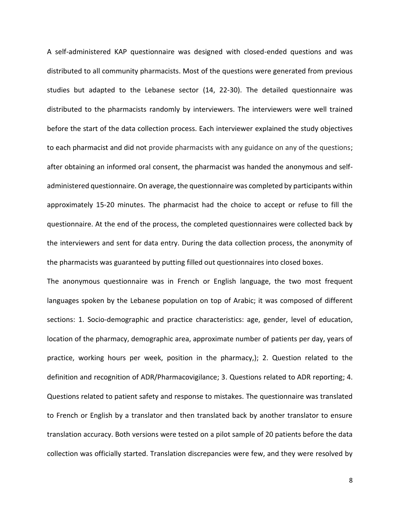A self-administered KAP questionnaire was designed with closed-ended questions and was distributed to all community pharmacists. Most of the questions were generated from previous studies but adapted to the Lebanese sector [\(14,](#page-19-12) [22-30\)](#page-20-4). The detailed questionnaire was distributed to the pharmacists randomly by interviewers. The interviewers were well trained before the start of the data collection process. Each interviewer explained the study objectives to each pharmacist and did not provide pharmacists with any guidance on any of the questions; after obtaining an informed oral consent, the pharmacist was handed the anonymous and selfadministered questionnaire. On average, the questionnaire was completed by participants within approximately 15-20 minutes. The pharmacist had the choice to accept or refuse to fill the questionnaire. At the end of the process, the completed questionnaires were collected back by the interviewers and sent for data entry. During the data collection process, the anonymity of the pharmacists was guaranteed by putting filled out questionnaires into closed boxes.

The anonymous questionnaire was in French or English language, the two most frequent languages spoken by the Lebanese population on top of Arabic; it was composed of different sections: 1. Socio-demographic and practice characteristics: age, gender, level of education, location of the pharmacy, demographic area, approximate number of patients per day, years of practice, working hours per week, position in the pharmacy,); 2. Question related to the definition and recognition of ADR/Pharmacovigilance; 3. Questions related to ADR reporting; 4. Questions related to patient safety and response to mistakes. The questionnaire was translated to French or English by a translator and then translated back by another translator to ensure translation accuracy. Both versions were tested on a pilot sample of 20 patients before the data collection was officially started. Translation discrepancies were few, and they were resolved by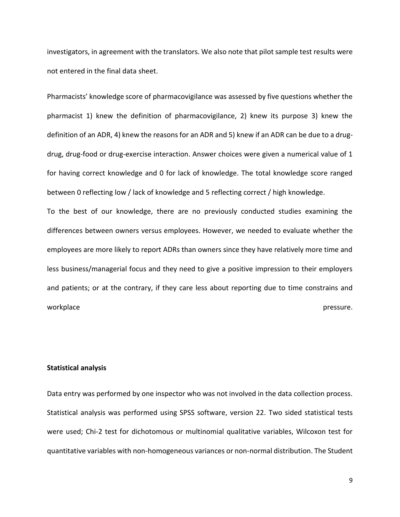investigators, in agreement with the translators. We also note that pilot sample test results were not entered in the final data sheet.

Pharmacists' knowledge score of pharmacovigilance was assessed by five questions whether the pharmacist 1) knew the definition of pharmacovigilance, 2) knew its purpose 3) knew the definition of an ADR, 4) knew the reasons for an ADR and 5) knew if an ADR can be due to a drugdrug, drug-food or drug-exercise interaction. Answer choices were given a numerical value of 1 for having correct knowledge and 0 for lack of knowledge. The total knowledge score ranged between 0 reflecting low / lack of knowledge and 5 reflecting correct / high knowledge.

To the best of our knowledge, there are no previously conducted studies examining the differences between owners versus employees. However, we needed to evaluate whether the employees are more likely to report ADRs than owners since they have relatively more time and less business/managerial focus and they need to give a positive impression to their employers and patients; or at the contrary, if they care less about reporting due to time constrains and workplace **pressure.** 

#### **Statistical analysis**

Data entry was performed by one inspector who was not involved in the data collection process. Statistical analysis was performed using SPSS software, version 22. Two sided statistical tests were used; Chi-2 test for dichotomous or multinomial qualitative variables, Wilcoxon test for quantitative variables with non-homogeneous variances or non-normal distribution. The Student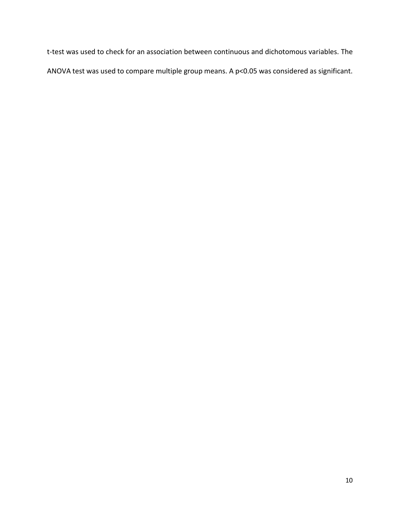t-test was used to check for an association between continuous and dichotomous variables. The ANOVA test was used to compare multiple group means. A p<0.05 was considered as significant.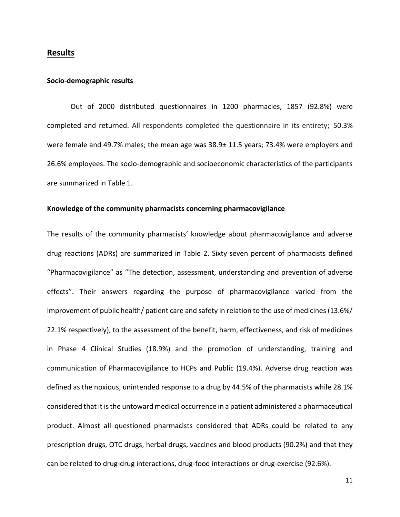## **Results**

#### **Socio-demographic results**

Out of 2000 distributed questionnaires in 1200 pharmacies, 1857 (92.8%) were completed and returned. All respondents completed the questionnaire in its entirety; 50.3% were female and 49.7% males; the mean age was 38.9± 11.5 years; 73.4% were employers and 26.6% employees. The socio-demographic and socioeconomic characteristics of the participants are summarized in Table 1.

### **Knowledge of the community pharmacists concerning pharmacovigilance**

The results of the community pharmacists' knowledge about pharmacovigilance and adverse drug reactions (ADRs) are summarized in Table 2. Sixty seven percent of pharmacists defined "Pharmacovigilance" as "The detection, assessment, understanding and prevention of adverse effects". Their answers regarding the purpose of pharmacovigilance varied from the improvement of public health/ patient care and safety in relation to the use of medicines (13.6%/ 22.1% respectively), to the assessment of the benefit, harm, effectiveness, and risk of medicines in Phase 4 Clinical Studies (18.9%) and the promotion of understanding, training and communication of Pharmacovigilance to HCPs and Public (19.4%). Adverse drug reaction was defined as the noxious, unintended response to a drug by 44.5% of the pharmacists while 28.1% considered that it is the untoward medical occurrence in a patient administered a pharmaceutical product. Almost all questioned pharmacists considered that ADRs could be related to any prescription drugs, OTC drugs, herbal drugs, vaccines and blood products (90.2%) and that they can be related to drug-drug interactions, drug-food interactions or drug-exercise (92.6%).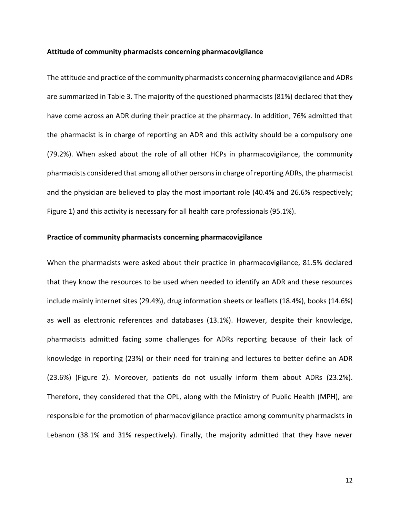#### **Attitude of community pharmacists concerning pharmacovigilance**

The attitude and practice of the community pharmacists concerning pharmacovigilance and ADRs are summarized in Table 3. The majority of the questioned pharmacists (81%) declared that they have come across an ADR during their practice at the pharmacy. In addition, 76% admitted that the pharmacist is in charge of reporting an ADR and this activity should be a compulsory one (79.2%). When asked about the role of all other HCPs in pharmacovigilance, the community pharmacists considered that among all other persons in charge of reporting ADRs, the pharmacist and the physician are believed to play the most important role (40.4% and 26.6% respectively; Figure 1) and this activity is necessary for all health care professionals (95.1%).

## **Practice of community pharmacists concerning pharmacovigilance**

When the pharmacists were asked about their practice in pharmacovigilance, 81.5% declared that they know the resources to be used when needed to identify an ADR and these resources include mainly internet sites (29.4%), drug information sheets or leaflets (18.4%), books (14.6%) as well as electronic references and databases (13.1%). However, despite their knowledge, pharmacists admitted facing some challenges for ADRs reporting because of their lack of knowledge in reporting (23%) or their need for training and lectures to better define an ADR (23.6%) (Figure 2). Moreover, patients do not usually inform them about ADRs (23.2%). Therefore, they considered that the OPL, along with the Ministry of Public Health (MPH), are responsible for the promotion of pharmacovigilance practice among community pharmacists in Lebanon (38.1% and 31% respectively). Finally, the majority admitted that they have never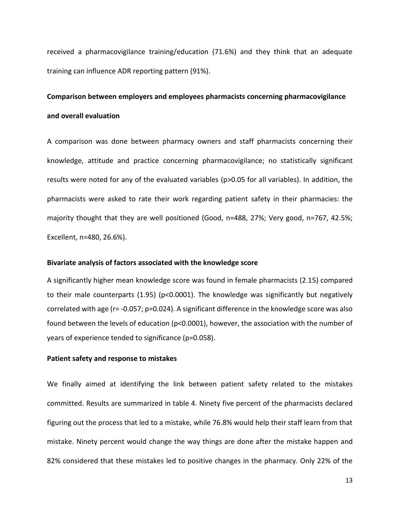received a pharmacovigilance training/education (71.6%) and they think that an adequate training can influence ADR reporting pattern (91%).

# **Comparison between employers and employees pharmacists concerning pharmacovigilance and overall evaluation**

A comparison was done between pharmacy owners and staff pharmacists concerning their knowledge, attitude and practice concerning pharmacovigilance; no statistically significant results were noted for any of the evaluated variables (p>0.05 for all variables). In addition, the pharmacists were asked to rate their work regarding patient safety in their pharmacies: the majority thought that they are well positioned (Good, n=488, 27%; Very good, n=767, 42.5%; Excellent, n=480, 26.6%).

#### **Bivariate analysis of factors associated with the knowledge score**

A significantly higher mean knowledge score was found in female pharmacists (2.15) compared to their male counterparts (1.95) (p<0.0001). The knowledge was significantly but negatively correlated with age (r= -0.057; p=0.024). A significant difference in the knowledge score was also found between the levels of education (p<0.0001), however, the association with the number of years of experience tended to significance (p=0.058).

## **Patient safety and response to mistakes**

We finally aimed at identifying the link between patient safety related to the mistakes committed. Results are summarized in table 4. Ninety five percent of the pharmacists declared figuring out the process that led to a mistake, while 76.8% would help their staff learn from that mistake. Ninety percent would change the way things are done after the mistake happen and 82% considered that these mistakes led to positive changes in the pharmacy. Only 22% of the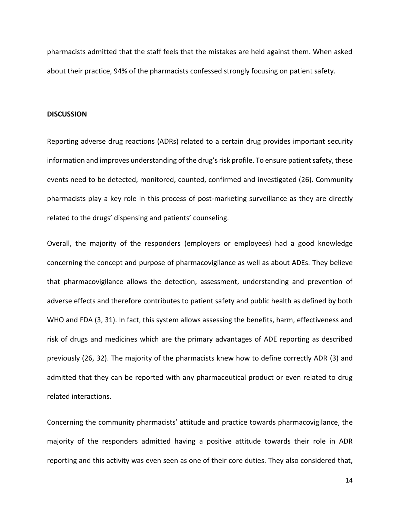pharmacists admitted that the staff feels that the mistakes are held against them. When asked about their practice, 94% of the pharmacists confessed strongly focusing on patient safety.

#### **DISCUSSION**

Reporting adverse drug reactions (ADRs) related to a certain drug provides important security information and improves understanding of the drug's risk profile. To ensure patient safety, these events need to be detected, monitored, counted, confirmed and investigated [\(26\)](#page-20-5). Community pharmacists play a key role in this process of post-marketing surveillance as they are directly related to the drugs' dispensing and patients' counseling.

Overall, the majority of the responders (employers or employees) had a good knowledge concerning the concept and purpose of pharmacovigilance as well as about ADEs. They believe that pharmacovigilance allows the detection, assessment, understanding and prevention of adverse effects and therefore contributes to patient safety and public health as defined by both WHO and FDA [\(3,](#page-19-2) [31\)](#page-20-6). In fact, this system allows assessing the benefits, harm, effectiveness and risk of drugs and medicines which are the primary advantages of ADE reporting as described previously [\(26,](#page-20-5) [32\)](#page-20-7). The majority of the pharmacists knew how to define correctly ADR [\(3\)](#page-19-2) and admitted that they can be reported with any pharmaceutical product or even related to drug related interactions.

Concerning the community pharmacists' attitude and practice towards pharmacovigilance, the majority of the responders admitted having a positive attitude towards their role in ADR reporting and this activity was even seen as one of their core duties. They also considered that,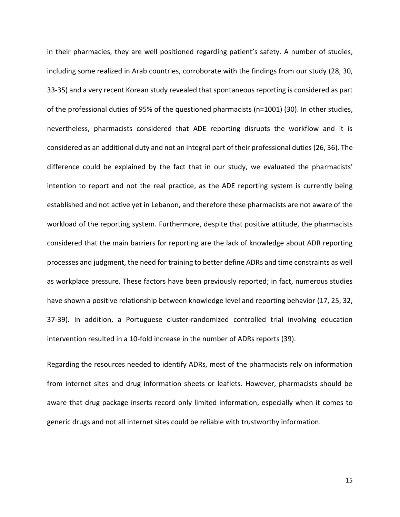in their pharmacies, they are well positioned regarding patient's safety. A number of studies, including some realized in Arab countries, corroborate with the findings from our study [\(28,](#page-20-8) [30,](#page-20-9) [33-35\)](#page-20-10) and a very recent Korean study revealed that spontaneous reporting is considered as part of the professional duties of 95% of the questioned pharmacists (n=1001) [\(30\)](#page-20-9). In other studies, nevertheless, pharmacists considered that ADE reporting disrupts the workflow and it is considered as an additional duty and not an integral part of their professional duties [\(26,](#page-20-5) [36\)](#page-21-0). The difference could be explained by the fact that in our study, we evaluated the pharmacists' intention to report and not the real practice, as the ADE reporting system is currently being established and not active yet in Lebanon, and therefore these pharmacists are not aware of the workload of the reporting system. Furthermore, despite that positive attitude, the pharmacists considered that the main barriers for reporting are the lack of knowledge about ADR reporting processes and judgment, the need for training to better define ADRs and time constraints as well as workplace pressure. These factors have been previously reported; in fact, numerous studies have shown a positive relationship between knowledge level and reporting behavior [\(17,](#page-19-11) [25,](#page-20-11) [32,](#page-20-7) [37-39\)](#page-21-1). In addition, a Portuguese cluster-randomized controlled trial involving education intervention resulted in a 10-fold increase in the number of ADRs reports [\(39\)](#page-21-2).

Regarding the resources needed to identify ADRs, most of the pharmacists rely on information from internet sites and drug information sheets or leaflets. However, pharmacists should be aware that drug package inserts record only limited information, especially when it comes to generic drugs and not all internet sites could be reliable with trustworthy information.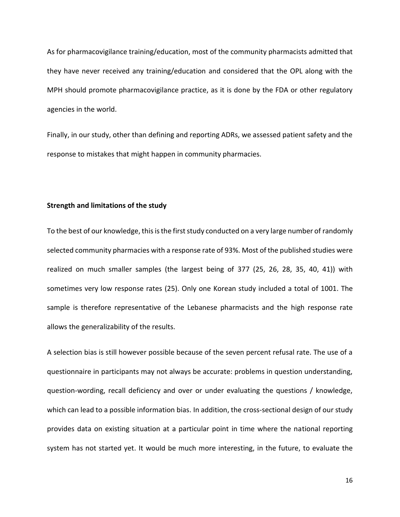As for pharmacovigilance training/education, most of the community pharmacists admitted that they have never received any training/education and considered that the OPL along with the MPH should promote pharmacovigilance practice, as it is done by the FDA or other regulatory agencies in the world.

Finally, in our study, other than defining and reporting ADRs, we assessed patient safety and the response to mistakes that might happen in community pharmacies.

### **Strength and limitations of the study**

To the best of our knowledge, this is the first study conducted on a very large number of randomly selected community pharmacies with a response rate of 93%. Most of the published studies were realized on much smaller samples (the largest being of 377 [\(25,](#page-20-11) [26,](#page-20-5) [28,](#page-20-8) [35,](#page-20-12) [40,](#page-21-3) [41\)](#page-21-4)) with sometimes very low response rates [\(25\)](#page-20-11). Only one Korean study included a total of 1001. The sample is therefore representative of the Lebanese pharmacists and the high response rate allows the generalizability of the results.

A selection bias is still however possible because of the seven percent refusal rate. The use of a questionnaire in participants may not always be accurate: problems in question understanding, question-wording, recall deficiency and over or under evaluating the questions / knowledge, which can lead to a possible information bias. In addition, the cross-sectional design of our study provides data on existing situation at a particular point in time where the national reporting system has not started yet. It would be much more interesting, in the future, to evaluate the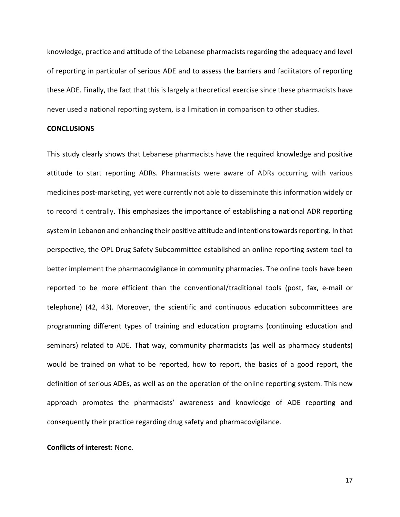knowledge, practice and attitude of the Lebanese pharmacists regarding the adequacy and level of reporting in particular of serious ADE and to assess the barriers and facilitators of reporting these ADE. Finally, the fact that this is largely a theoretical exercise since these pharmacists have never used a national reporting system, is a limitation in comparison to other studies.

#### **CONCLUSIONS**

This study clearly shows that Lebanese pharmacists have the required knowledge and positive attitude to start reporting ADRs. Pharmacists were aware of ADRs occurring with various medicines post-marketing, yet were currently not able to disseminate this information widely or to record it centrally. This emphasizes the importance of establishing a national ADR reporting system in Lebanon and enhancing their positive attitude and intentions towards reporting. In that perspective, the OPL Drug Safety Subcommittee established an online reporting system tool to better implement the pharmacovigilance in community pharmacies. The online tools have been reported to be more efficient than the conventional/traditional tools (post, fax, e-mail or telephone) [\(42,](#page-21-5) [43\)](#page-21-6). Moreover, the scientific and continuous education subcommittees are programming different types of training and education programs (continuing education and seminars) related to ADE. That way, community pharmacists (as well as pharmacy students) would be trained on what to be reported, how to report, the basics of a good report, the definition of serious ADEs, as well as on the operation of the online reporting system. This new approach promotes the pharmacists' awareness and knowledge of ADE reporting and consequently their practice regarding drug safety and pharmacovigilance.

## **Conflicts of interest:** None.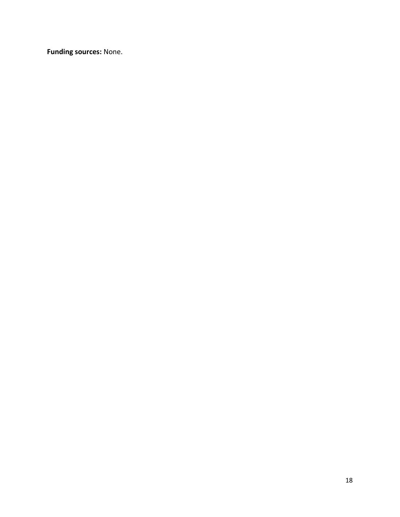**Funding sources:** None.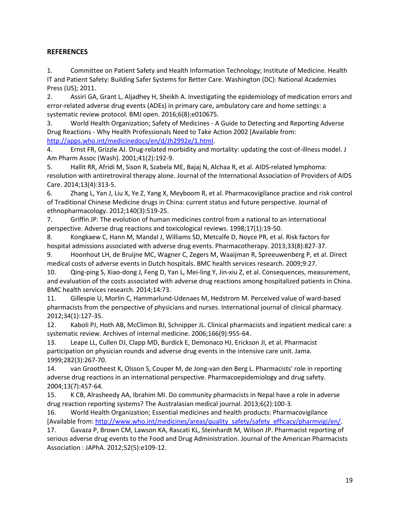# **REFERENCES**

<span id="page-19-0"></span>1. Committee on Patient Safety and Health Information Technology; Institute of Medicine. Health IT and Patient Safety: Building Safer Systems for Better Care. Washington (DC): National Academies Press (US); 2011.

<span id="page-19-1"></span>2. Assiri GA, Grant L, Aljadhey H, Sheikh A. Investigating the epidemiology of medication errors and error-related adverse drug events (ADEs) in primary care, ambulatory care and home settings: a systematic review protocol. BMJ open. 2016;6(8):e010675.

<span id="page-19-2"></span>3. World Health Organization; Safety of Medicines - A Guide to Detecting and Reporting Adverse Drug Reactions - Why Health Professionals Need to Take Action 2002 [Available from: [http://apps.who.int/medicinedocs/en/d/Jh2992e/1.html.](http://apps.who.int/medicinedocs/en/d/Jh2992e/1.html)

<span id="page-19-3"></span>4. Ernst FR, Grizzle AJ. Drug-related morbidity and mortality: updating the cost-of-illness model. J Am Pharm Assoc (Wash). 2001;41(2):192-9.

<span id="page-19-4"></span>5. Hallit RR, Afridi M, Sison R, Szabela ME, Bajaj N, Alchaa R, et al. AIDS-related lymphoma: resolution with antiretroviral therapy alone. Journal of the International Association of Providers of AIDS Care. 2014;13(4):313-5.

<span id="page-19-5"></span>6. Zhang L, Yan J, Liu X, Ye Z, Yang X, Meyboom R, et al. Pharmacovigilance practice and risk control of Traditional Chinese Medicine drugs in China: current status and future perspective. Journal of ethnopharmacology. 2012;140(3):519-25.

7. Griffin JP. The evolution of human medicines control from a national to an international perspective. Adverse drug reactions and toxicological reviews. 1998;17(1):19-50.

<span id="page-19-6"></span>8. Kongkaew C, Hann M, Mandal J, Williams SD, Metcalfe D, Noyce PR, et al. Risk factors for hospital admissions associated with adverse drug events. Pharmacotherapy. 2013;33(8):827-37.

<span id="page-19-7"></span>9. Hoonhout LH, de Bruijne MC, Wagner C, Zegers M, Waaijman R, Spreeuwenberg P, et al. Direct medical costs of adverse events in Dutch hospitals. BMC health services research. 2009;9:27.

<span id="page-19-8"></span>10. Qing-ping S, Xiao-dong J, Feng D, Yan L, Mei-ling Y, Jin-xiu Z, et al. Consequences, measurement, and evaluation of the costs associated with adverse drug reactions among hospitalized patients in China. BMC health services research. 2014;14:73.

<span id="page-19-9"></span>11. Gillespie U, Morlin C, Hammarlund-Udenaes M, Hedstrom M. Perceived value of ward-based pharmacists from the perspective of physicians and nurses. International journal of clinical pharmacy. 2012;34(1):127-35.

12. Kaboli PJ, Hoth AB, McClimon BJ, Schnipper JL. Clinical pharmacists and inpatient medical care: a systematic review. Archives of internal medicine. 2006;166(9):955-64.

13. Leape LL, Cullen DJ, Clapp MD, Burdick E, Demonaco HJ, Erickson JI, et al. Pharmacist participation on physician rounds and adverse drug events in the intensive care unit. Jama. 1999;282(3):267-70.

<span id="page-19-12"></span>14. van Grootheest K, Olsson S, Couper M, de Jong-van den Berg L. Pharmacists' role in reporting adverse drug reactions in an international perspective. Pharmacoepidemiology and drug safety. 2004;13(7):457-64.

15. K CB, Alrasheedy AA, Ibrahim MI. Do community pharmacists in Nepal have a role in adverse drug reaction reporting systems? The Australasian medical journal. 2013;6(2):100-3.

<span id="page-19-10"></span>16. World Health Organization; Essential medicines and health products: Pharmacovigilance [Available from: [http://www.who.int/medicines/areas/quality\\_safety/safety\\_efficacy/pharmvigi/en/.](http://www.who.int/medicines/areas/quality_safety/safety_efficacy/pharmvigi/en/)

<span id="page-19-11"></span>17. Gavaza P, Brown CM, Lawson KA, Rascati KL, Steinhardt M, Wilson JP. Pharmacist reporting of serious adverse drug events to the Food and Drug Administration. Journal of the American Pharmacists Association : JAPhA. 2012;52(5):e109-12.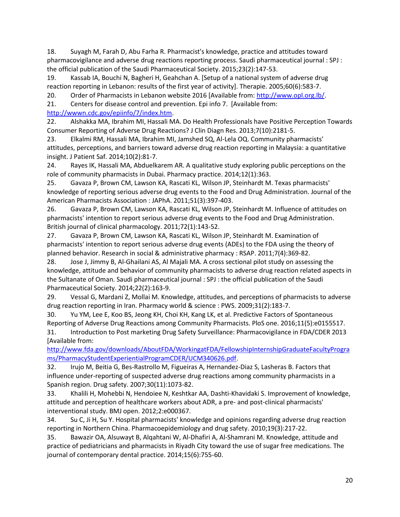<span id="page-20-0"></span>18. Suyagh M, Farah D, Abu Farha R. Pharmacist's knowledge, practice and attitudes toward pharmacovigilance and adverse drug reactions reporting process. Saudi pharmaceutical journal : SPJ : the official publication of the Saudi Pharmaceutical Society. 2015;23(2):147-53.

<span id="page-20-1"></span>19. Kassab IA, Bouchi N, Bagheri H, Geahchan A. [Setup of a national system of adverse drug reaction reporting in Lebanon: results of the first year of activity]. Therapie. 2005;60(6):583-7.

<span id="page-20-2"></span>20. Order of Pharmacists in Lebanon website 2016 [Available from: [http://www.opl.org.lb/.](http://www.opl.org.lb/)

<span id="page-20-3"></span>21. Centers for disease control and prevention. Epi info 7. [Available from:

[http://wwwn.cdc.gov/epiinfo/7/index.htm.](http://wwwn.cdc.gov/epiinfo/7/index.htm)

<span id="page-20-4"></span>22. Alshakka MA, Ibrahim MI, Hassali MA. Do Health Professionals have Positive Perception Towards Consumer Reporting of Adverse Drug Reactions? J Clin Diagn Res. 2013;7(10):2181-5.

23. Elkalmi RM, Hassali MA, Ibrahim MI, Jamshed SQ, Al-Lela OQ. Community pharmacists' attitudes, perceptions, and barriers toward adverse drug reaction reporting in Malaysia: a quantitative insight. J Patient Saf. 2014;10(2):81-7.

24. Rayes IK, Hassali MA, Abduelkarem AR. A qualitative study exploring public perceptions on the role of community pharmacists in Dubai. Pharmacy practice. 2014;12(1):363.

<span id="page-20-11"></span>25. Gavaza P, Brown CM, Lawson KA, Rascati KL, Wilson JP, Steinhardt M. Texas pharmacists' knowledge of reporting serious adverse drug events to the Food and Drug Administration. Journal of the American Pharmacists Association : JAPhA. 2011;51(3):397-403.

<span id="page-20-5"></span>26. Gavaza P, Brown CM, Lawson KA, Rascati KL, Wilson JP, Steinhardt M. Influence of attitudes on pharmacists' intention to report serious adverse drug events to the Food and Drug Administration. British journal of clinical pharmacology. 2011;72(1):143-52.

27. Gavaza P, Brown CM, Lawson KA, Rascati KL, Wilson JP, Steinhardt M. Examination of pharmacists' intention to report serious adverse drug events (ADEs) to the FDA using the theory of planned behavior. Research in social & administrative pharmacy : RSAP. 2011;7(4):369-82.

<span id="page-20-8"></span>28. Jose J, Jimmy B, Al-Ghailani AS, Al Majali MA. A cross sectional pilot study on assessing the knowledge, attitude and behavior of community pharmacists to adverse drug reaction related aspects in the Sultanate of Oman. Saudi pharmaceutical journal : SPJ : the official publication of the Saudi Pharmaceutical Society. 2014;22(2):163-9.

29. Vessal G, Mardani Z, Mollai M. Knowledge, attitudes, and perceptions of pharmacists to adverse drug reaction reporting in Iran. Pharmacy world & science : PWS. 2009;31(2):183-7.

<span id="page-20-9"></span><span id="page-20-6"></span>30. Yu YM, Lee E, Koo BS, Jeong KH, Choi KH, Kang LK, et al. Predictive Factors of Spontaneous Reporting of Adverse Drug Reactions among Community Pharmacists. PloS one. 2016;11(5):e0155517. 31. Introduction to Post marketing Drug Safety Surveillance: Pharmacovigilance in FDA/CDER 2013 [Available from:

[http://www.fda.gov/downloads/AboutFDA/WorkingatFDA/FellowshipInternshipGraduateFacultyProgra](http://www.fda.gov/downloads/AboutFDA/WorkingatFDA/FellowshipInternshipGraduateFacultyPrograms/PharmacyStudentExperientialProgramCDER/UCM340626.pdf) [ms/PharmacyStudentExperientialProgramCDER/UCM340626.pdf.](http://www.fda.gov/downloads/AboutFDA/WorkingatFDA/FellowshipInternshipGraduateFacultyPrograms/PharmacyStudentExperientialProgramCDER/UCM340626.pdf)

<span id="page-20-7"></span>32. Irujo M, Beitia G, Bes-Rastrollo M, Figueiras A, Hernandez-Diaz S, Lasheras B. Factors that influence under-reporting of suspected adverse drug reactions among community pharmacists in a Spanish region. Drug safety. 2007;30(11):1073-82.

<span id="page-20-10"></span>33. Khalili H, Mohebbi N, Hendoiee N, Keshtkar AA, Dashti-Khavidaki S. Improvement of knowledge, attitude and perception of healthcare workers about ADR, a pre- and post-clinical pharmacists' interventional study. BMJ open. 2012;2:e000367.

34. Su C, Ji H, Su Y. Hospital pharmacists' knowledge and opinions regarding adverse drug reaction reporting in Northern China. Pharmacoepidemiology and drug safety. 2010;19(3):217-22.

<span id="page-20-12"></span>35. Bawazir OA, Alsuwayt B, Alqahtani W, Al-Dhafiri A, Al-Shamrani M. Knowledge, attitude and practice of pediatricians and pharmacists in Riyadh City toward the use of sugar free medications. The journal of contemporary dental practice. 2014;15(6):755-60.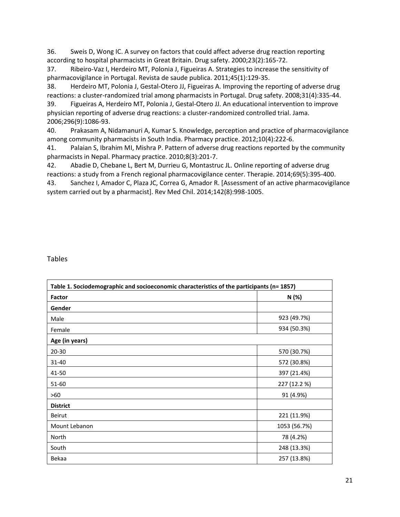<span id="page-21-0"></span>36. Sweis D, Wong IC. A survey on factors that could affect adverse drug reaction reporting according to hospital pharmacists in Great Britain. Drug safety. 2000;23(2):165-72.

<span id="page-21-1"></span>37. Ribeiro-Vaz I, Herdeiro MT, Polonia J, Figueiras A. Strategies to increase the sensitivity of pharmacovigilance in Portugal. Revista de saude publica. 2011;45(1):129-35.

38. Herdeiro MT, Polonia J, Gestal-Otero JJ, Figueiras A. Improving the reporting of adverse drug reactions: a cluster-randomized trial among pharmacists in Portugal. Drug safety. 2008;31(4):335-44.

<span id="page-21-2"></span>39. Figueiras A, Herdeiro MT, Polonia J, Gestal-Otero JJ. An educational intervention to improve physician reporting of adverse drug reactions: a cluster-randomized controlled trial. Jama. 2006;296(9):1086-93.

<span id="page-21-3"></span>40. Prakasam A, Nidamanuri A, Kumar S. Knowledge, perception and practice of pharmacovigilance among community pharmacists in South India. Pharmacy practice. 2012;10(4):222-6.

<span id="page-21-4"></span>41. Palaian S, Ibrahim MI, Mishra P. Pattern of adverse drug reactions reported by the community pharmacists in Nepal. Pharmacy practice. 2010;8(3):201-7.

<span id="page-21-5"></span>42. Abadie D, Chebane L, Bert M, Durrieu G, Montastruc JL. Online reporting of adverse drug reactions: a study from a French regional pharmacovigilance center. Therapie. 2014;69(5):395-400.

<span id="page-21-6"></span>43. Sanchez I, Amador C, Plaza JC, Correa G, Amador R. [Assessment of an active pharmacovigilance system carried out by a pharmacist]. Rev Med Chil. 2014;142(8):998-1005.

Tables

| Table 1. Sociodemographic and socioeconomic characteristics of the participants (n= 1857) |              |  |
|-------------------------------------------------------------------------------------------|--------------|--|
| Factor                                                                                    | N (%)        |  |
| Gender                                                                                    |              |  |
| Male                                                                                      | 923 (49.7%)  |  |
| Female                                                                                    | 934 (50.3%)  |  |
| Age (in years)                                                                            |              |  |
| 20-30                                                                                     | 570 (30.7%)  |  |
| 31-40                                                                                     | 572 (30.8%)  |  |
| 41-50                                                                                     | 397 (21.4%)  |  |
| 51-60                                                                                     | 227 (12.2 %) |  |
| >60                                                                                       | 91 (4.9%)    |  |
| <b>District</b>                                                                           |              |  |
| Beirut                                                                                    | 221 (11.9%)  |  |
| Mount Lebanon                                                                             | 1053 (56.7%) |  |
| North                                                                                     | 78 (4.2%)    |  |
| South                                                                                     | 248 (13.3%)  |  |
| Bekaa                                                                                     | 257 (13.8%)  |  |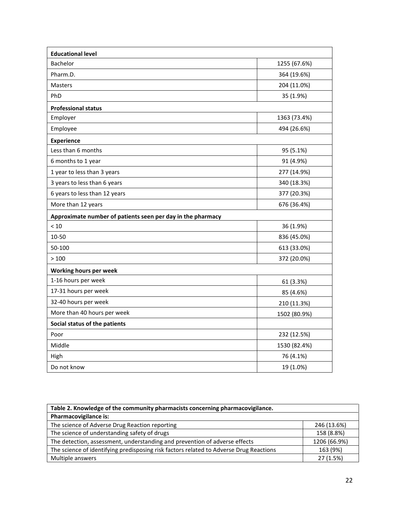| <b>Educational level</b>                                    |              |
|-------------------------------------------------------------|--------------|
| Bachelor                                                    | 1255 (67.6%) |
| Pharm.D.                                                    | 364 (19.6%)  |
| <b>Masters</b>                                              | 204 (11.0%)  |
| PhD                                                         | 35 (1.9%)    |
| <b>Professional status</b>                                  |              |
| Employer                                                    | 1363 (73.4%) |
| Employee                                                    | 494 (26.6%)  |
| <b>Experience</b>                                           |              |
| Less than 6 months                                          | 95 (5.1%)    |
| 6 months to 1 year                                          | 91 (4.9%)    |
| 1 year to less than 3 years                                 | 277 (14.9%)  |
| 3 years to less than 6 years                                | 340 (18.3%)  |
| 6 years to less than 12 years                               | 377 (20.3%)  |
| More than 12 years                                          | 676 (36.4%)  |
| Approximate number of patients seen per day in the pharmacy |              |
| < 10                                                        | 36 (1.9%)    |
| 10-50                                                       | 836 (45.0%)  |
| 50-100                                                      | 613 (33.0%)  |
| >100                                                        | 372 (20.0%)  |
| Working hours per week                                      |              |
| 1-16 hours per week                                         | 61 (3.3%)    |
| 17-31 hours per week                                        | 85 (4.6%)    |
| 32-40 hours per week                                        | 210 (11.3%)  |
| More than 40 hours per week                                 | 1502 (80.9%) |
| Social status of the patients                               |              |
| Poor                                                        | 232 (12.5%)  |
| Middle                                                      | 1530 (82.4%) |
| High                                                        | 76 (4.1%)    |
| Do not know                                                 | 19 (1.0%)    |

| Table 2. Knowledge of the community pharmacists concerning pharmacovigilance.          |              |  |
|----------------------------------------------------------------------------------------|--------------|--|
| Pharmacovigilance is:                                                                  |              |  |
| The science of Adverse Drug Reaction reporting                                         | 246 (13.6%)  |  |
| The science of understanding safety of drugs                                           | 158 (8.8%)   |  |
| The detection, assessment, understanding and prevention of adverse effects             | 1206 (66.9%) |  |
| The science of identifying predisposing risk factors related to Adverse Drug Reactions | 163 (9%)     |  |
| Multiple answers                                                                       | 27 (1.5%)    |  |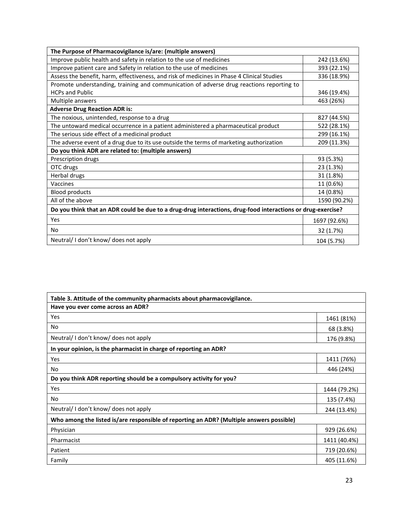| The Purpose of Pharmacovigilance is/are: (multiple answers)                                                 |              |  |
|-------------------------------------------------------------------------------------------------------------|--------------|--|
| Improve public health and safety in relation to the use of medicines                                        | 242 (13.6%)  |  |
| Improve patient care and Safety in relation to the use of medicines                                         | 393 (22.1%)  |  |
| Assess the benefit, harm, effectiveness, and risk of medicines in Phase 4 Clinical Studies                  | 336 (18.9%)  |  |
| Promote understanding, training and communication of adverse drug reactions reporting to                    |              |  |
| <b>HCPs and Public</b>                                                                                      | 346 (19.4%)  |  |
| Multiple answers                                                                                            | 463 (26%)    |  |
| <b>Adverse Drug Reaction ADR is:</b>                                                                        |              |  |
| The noxious, unintended, response to a drug                                                                 | 827 (44.5%)  |  |
| The untoward medical occurrence in a patient administered a pharmaceutical product                          | 522 (28.1%)  |  |
| The serious side effect of a medicinal product                                                              | 299 (16.1%)  |  |
| The adverse event of a drug due to its use outside the terms of marketing authorization                     | 209 (11.3%)  |  |
| Do you think ADR are related to: (multiple answers)                                                         |              |  |
| Prescription drugs                                                                                          | 93 (5.3%)    |  |
| OTC drugs                                                                                                   | 23 (1.3%)    |  |
| Herbal drugs                                                                                                | 31 (1.8%)    |  |
| Vaccines                                                                                                    | 11 (0.6%)    |  |
| <b>Blood products</b>                                                                                       | 14 (0.8%)    |  |
| All of the above                                                                                            | 1590 (90.2%) |  |
| Do you think that an ADR could be due to a drug-drug interactions, drug-food interactions or drug-exercise? |              |  |
| Yes                                                                                                         | 1697 (92.6%) |  |
| No                                                                                                          | 32 (1.7%)    |  |
| Neutral/I don't know/ does not apply                                                                        | 104 (5.7%)   |  |

| Table 3. Attitude of the community pharmacists about pharmacovigilance.                  |              |
|------------------------------------------------------------------------------------------|--------------|
| Have you ever come across an ADR?                                                        |              |
| Yes                                                                                      | 1461 (81%)   |
| No                                                                                       | 68 (3.8%)    |
| Neutral/I don't know/ does not apply                                                     | 176 (9.8%)   |
| In your opinion, is the pharmacist in charge of reporting an ADR?                        |              |
| Yes                                                                                      | 1411 (76%)   |
| No.                                                                                      | 446 (24%)    |
| Do you think ADR reporting should be a compulsory activity for you?                      |              |
| Yes                                                                                      | 1444 (79.2%) |
| No.                                                                                      | 135 (7.4%)   |
| Neutral/I don't know/ does not apply                                                     | 244 (13.4%)  |
| Who among the listed is/are responsible of reporting an ADR? (Multiple answers possible) |              |
| Physician                                                                                | 929 (26.6%)  |
| Pharmacist                                                                               | 1411 (40.4%) |
| Patient                                                                                  | 719 (20.6%)  |
| Family                                                                                   | 405 (11.6%)  |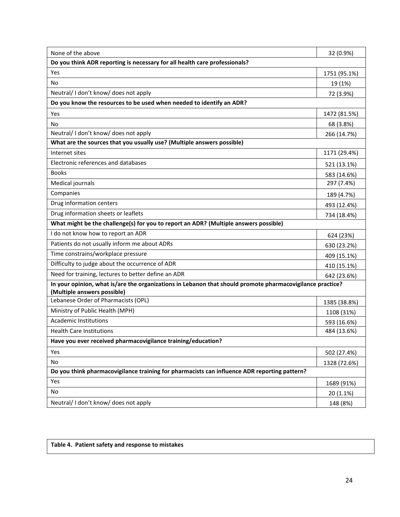| None of the above                                                                                                                        | 32 (0.9%)    |
|------------------------------------------------------------------------------------------------------------------------------------------|--------------|
| Do you think ADR reporting is necessary for all health care professionals?                                                               |              |
| Yes                                                                                                                                      | 1751 (95.1%) |
| No                                                                                                                                       | 19 (1%)      |
| Neutral/I don't know/ does not apply                                                                                                     | 72 (3.9%)    |
| Do you know the resources to be used when needed to identify an ADR?                                                                     |              |
| Yes                                                                                                                                      | 1472 (81.5%) |
| No                                                                                                                                       | 68 (3.8%)    |
| Neutral/I don't know/ does not apply                                                                                                     | 266 (14.7%)  |
| What are the sources that you usually use? (Multiple answers possible)                                                                   |              |
| Internet sites                                                                                                                           | 1171 (29.4%) |
| Electronic references and databases                                                                                                      | 521 (13.1%)  |
| <b>Books</b>                                                                                                                             | 583 (14.6%)  |
| Medical journals                                                                                                                         | 297 (7.4%)   |
| Companies                                                                                                                                | 189 (4.7%)   |
| Drug information centers                                                                                                                 | 493 (12.4%)  |
| Drug information sheets or leaflets                                                                                                      | 734 (18.4%)  |
| What might be the challenge(s) for you to report an ADR? (Multiple answers possible)                                                     |              |
| I do not know how to report an ADR                                                                                                       | 624 (23%)    |
| Patients do not usually inform me about ADRs                                                                                             | 630 (23.2%)  |
| Time constrains/workplace pressure                                                                                                       | 409 (15.1%)  |
| Difficulty to judge about the occurrence of ADR                                                                                          | 410 (15.1%)  |
| Need for training, lectures to better define an ADR                                                                                      | 642 (23.6%)  |
| In your opinion, what is/are the organizations in Lebanon that should promote pharmacovigilance practice?<br>(Multiple answers possible) |              |
| Lebanese Order of Pharmacists (OPL)                                                                                                      | 1385 (38.8%) |
| Ministry of Public Health (MPH)                                                                                                          | 1108 (31%)   |
| <b>Academic Institutions</b>                                                                                                             | 593 (16.6%)  |
| <b>Health Care Institutions</b>                                                                                                          | 484 (13.6%)  |
| Have you ever received pharmacovigilance training/education?                                                                             |              |
| Yes                                                                                                                                      | 502 (27.4%)  |
| No                                                                                                                                       | 1328 (72.6%) |
| Do you think pharmacovigilance training for pharmacists can influence ADR reporting pattern?                                             |              |
| Yes                                                                                                                                      | 1689 (91%)   |
| No                                                                                                                                       | $20(1.1\%)$  |
| Neutral/I don't know/ does not apply                                                                                                     | 148 (8%)     |

**Table 4. Patient safety and response to mistakes**